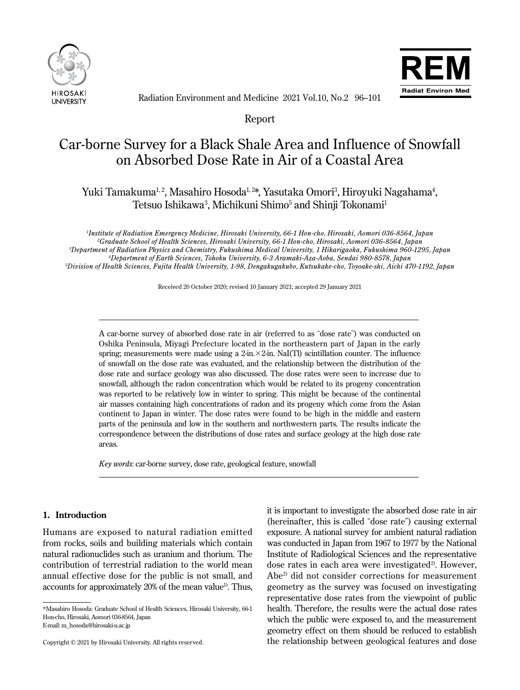



Radiation Environment and Medicine 2021 Vol.10, No.2 96–101

Report

# Car-borne Survey for a Black Shale Area and Influence of Snowfall on Absorbed Dose Rate in Air of a Coastal Area

Yuki Tamakuma<sup>1, 2</sup>, Masahiro Hosoda<sup>1, 2</sup>\*, Yasutaka Omori<sup>3</sup>, Hiroyuki Nagahama<sup>4</sup>, Tetsuo Ishikawa<sup>3</sup>, Michikuni Shimo<sup>5</sup> and Shinji Tokonami<sup>1</sup>

 *Institute of Radiation Emergency Medicine, Hirosaki University, 66-1 Hon-cho, Hirosaki, Aomori 036-8564, Japan Graduate School of Health Sciences, Hirosaki University, 66-1 Hon-cho, Hirosaki, Aomori 036-8564, Japan Department of Radiation Physics and Chemistry, Fukushima Medical University, 1 Hikarigaoka, Fukushima 960-1295, Japan Department of Earth Sciences, Tohoku University, 6-3 Aramaki-Aza-Aoba, Sendai 980-8578, Japan Division of Health Sciences, Fujita Health University, 1-98, Dengakugakubo, Kutsukake-cho, Toyoake-shi, Aichi 470-1192, Japan*

Received 20 October 2020; revised 10 January 2021; accepted 29 January 2021

A car-borne survey of absorbed dose rate in air (referred to as "dose rate") was conducted on Oshika Peninsula, Miyagi Prefecture located in the northeastern part of Japan in the early spring; measurements were made using a 2-in.  $\times$  2-in. NaI(TI) scintillation counter. The influence of snowfall on the dose rate was evaluated, and the relationship between the distribution of the dose rate and surface geology was also discussed. The dose rates were seen to increase due to snowfall, although the radon concentration which would be related to its progeny concentration was reported to be relatively low in winter to spring. This might be because of the continental air masses containing high concentrations of radon and its progeny which come from the Asian continent to Japan in winter. The dose rates were found to be high in the middle and eastern parts of the peninsula and low in the southern and northwestern parts. The results indicate the correspondence between the distributions of dose rates and surface geology at the high dose rate areas.

*Key words*: car-borne survey, dose rate, geological feature, snowfall

# **1. Introduction**

Ī

 $\overline{a}$ 

Humans are exposed to natural radiation emitted from rocks, soils and building materials which contain natural radionuclides such as uranium and thorium. The contribution of terrestrial radiation to the world mean annual effective dose for the public is not small, and accounts for approximately 20% of the mean value<sup>1</sup>. Thus,

E-mail: m\_hosoda@hirosaki-u.ac.jp

it is important to investigate the absorbed dose rate in air (hereinafter, this is called "dose rate") causing external exposure. A national survey for ambient natural radiation was conducted in Japan from 1967 to 1977 by the National Institute of Radiological Sciences and the representative dose rates in each area were investigated<sup>2)</sup>. However, Abe2) did not consider corrections for measurement geometry as the survey was focused on investigating representative dose rates from the viewpoint of public health. Therefore, the results were the actual dose rates which the public were exposed to, and the measurement geometry effect on them should be reduced to establish the relationship between geological features and dose

<sup>\*</sup>Masahiro Hosoda: Graduate School of Health Sciences, Hirosaki University, 66-1 Hon-cho, Hirosaki, Aomori 036-8564, Japan

Copyright © 2021 by Hirosaki University. All rights reserved.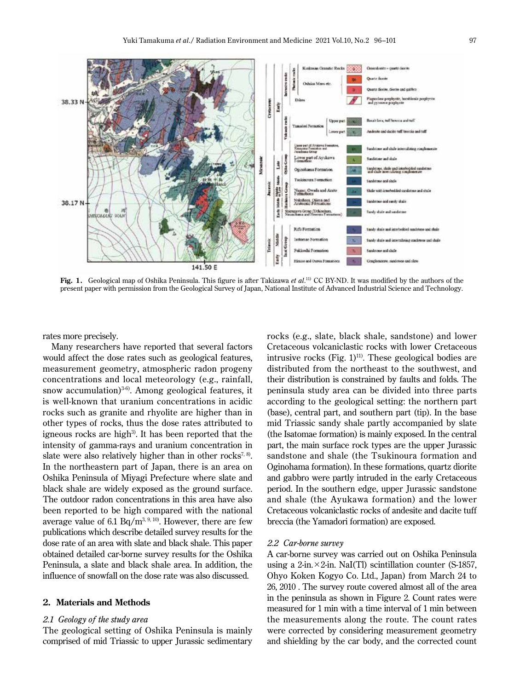

**Fig. 1.** Geological map of Oshika Peninsula. This figure is after Takizawa *et al*. 11) CC BY-ND. It was modified by the authors of the present paper with permission from the Geological Survey of Japan, National Institute of Advanced Industrial Science and Technology.

rates more precisely.

Many researchers have reported that several factors would affect the dose rates such as geological features, measurement geometry, atmospheric radon progeny concentrations and local meteorology (e.g., rainfall, snow accumulation)<sup>3-6</sup>). Among geological features, it is well-known that uranium concentrations in acidic rocks such as granite and rhyolite are higher than in other types of rocks, thus the dose rates attributed to igneous rocks are high<sup>3)</sup>. It has been reported that the intensity of gamma-rays and uranium concentration in slate were also relatively higher than in other rocks<sup>7, 8)</sup>. In the northeastern part of Japan, there is an area on Oshika Peninsula of Miyagi Prefecture where slate and black shale are widely exposed as the ground surface. The outdoor radon concentrations in this area have also been reported to be high compared with the national average value of 6.1  $Bq/m^{3, 9, 10}$ . However, there are few publications which describe detailed survey results for the dose rate of an area with slate and black shale. This paper obtained detailed car-borne survey results for the Oshika Peninsula, a slate and black shale area. In addition, the influence of snowfall on the dose rate was also discussed.

#### **2. Materials and Methods**

## *2.1 Geology of the study area*

The geological setting of Oshika Peninsula is mainly comprised of mid Triassic to upper Jurassic sedimentary

rocks (e.g., slate, black shale, sandstone) and lower Cretaceous volcaniclastic rocks with lower Cretaceous intrusive rocks (Fig.  $1$ )<sup>11)</sup>. These geological bodies are distributed from the northeast to the southwest, and their distribution is constrained by faults and folds. The peninsula study area can be divided into three parts according to the geological setting: the northern part (base), central part, and southern part (tip). In the base mid Triassic sandy shale partly accompanied by slate (the Isatomae formation) is mainly exposed. In the central part, the main surface rock types are the upper Jurassic sandstone and shale (the Tsukinoura formation and Oginohama formation). In these formations, quartz diorite and gabbro were partly intruded in the early Cretaceous period. In the southern edge, upper Jurassic sandstone and shale (the Ayukawa formation) and the lower Cretaceous volcaniclastic rocks of andesite and dacite tuff breccia (the Yamadori formation) are exposed.

#### *2.2 Car-borne survey*

A car-borne survey was carried out on Oshika Peninsula using a 2-in. $\times$ 2-in. NaI(Tl) scintillation counter (S-1857, Ohyo Koken Kogyo Co. Ltd., Japan) from March 24 to 26, 2010 . The survey route covered almost all of the area in the peninsula as shown in Figure 2. Count rates were measured for 1 min with a time interval of 1 min between the measurements along the route. The count rates were corrected by considering measurement geometry and shielding by the car body, and the corrected count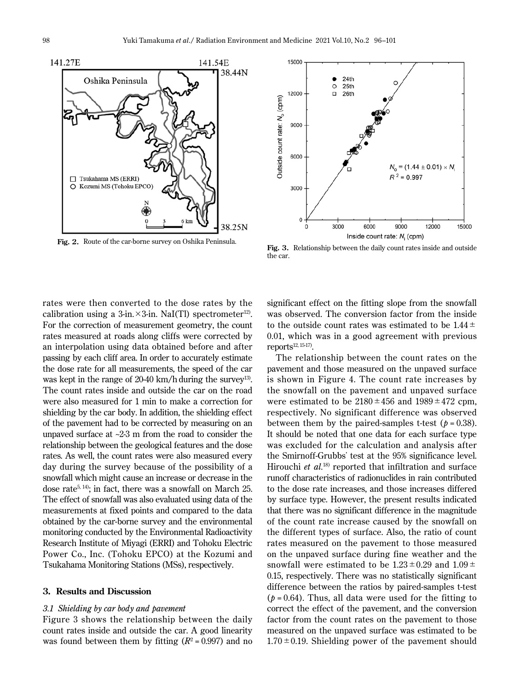



the car.

rates were then converted to the dose rates by the calibration using a 3-in. $\times$ 3-in. NaI(Tl) spectrometer<sup>12</sup>. For the correction of measurement geometry, the count rates measured at roads along cliffs were corrected by an interpolation using data obtained before and after passing by each cliff area. In order to accurately estimate the dose rate for all measurements, the speed of the car was kept in the range of 20-40 km/h during the survey<sup>13)</sup>. The count rates inside and outside the car on the road were also measured for 1 min to make a correction for shielding by the car body. In addition, the shielding effect of the pavement had to be corrected by measuring on an unpaved surface at  $\sim$ 2-3 m from the road to consider the relationship between the geological features and the dose rates. As well, the count rates were also measured every day during the survey because of the possibility of a snowfall which might cause an increase or decrease in the dose rate<sup>5, 14)</sup>; in fact, there was a snowfall on March 25. The effect of snowfall was also evaluated using data of the measurements at fixed points and compared to the data obtained by the car-borne survey and the environmental monitoring conducted by the Environmental Radioactivity Research Institute of Miyagi (ERRI) and Tohoku Electric Power Co., Inc. (Tohoku EPCO) at the Kozumi and Tsukahama Monitoring Stations (MSs), respectively.

# **3. Results and Discussion**

## *3.1 Shielding by car body and pavement*

Figure 3 shows the relationship between the daily count rates inside and outside the car. A good linearity was found between them by fitting  $(R^2 = 0.997)$  and no significant effect on the fitting slope from the snowfall was observed. The conversion factor from the inside to the outside count rates was estimated to be  $1.44 \pm$ 0.01, which was in a good agreement with previous  $renorts^{12, 15-17}$ .

The relationship between the count rates on the pavement and those measured on the unpaved surface is shown in Figure 4. The count rate increases by the snowfall on the pavement and unpaved surface were estimated to be  $2180 \pm 456$  and  $1989 \pm 472$  cpm, respectively. No significant difference was observed between them by the paired-samples t-test  $(p = 0.38)$ . It should be noted that one data for each surface type was excluded for the calculation and analysis after the Smirnoff-Grubbs' test at the 95% significance level. Hirouchi *et al.*<sup>18)</sup> reported that infiltration and surface runoff characteristics of radionuclides in rain contributed to the dose rate increases, and those increases differed by surface type. However, the present results indicated that there was no significant difference in the magnitude of the count rate increase caused by the snowfall on the different types of surface. Also, the ratio of count rates measured on the pavement to those measured on the unpaved surface during fine weather and the snowfall were estimated to be  $1.23 \pm 0.29$  and  $1.09 \pm$ 0.15, respectively. There was no statistically significant difference between the ratios by paired-samples t-test  $(p = 0.64)$ . Thus, all data were used for the fitting to correct the effect of the pavement, and the conversion factor from the count rates on the pavement to those measured on the unpaved surface was estimated to be  $1.70 \pm 0.19$ . Shielding power of the pavement should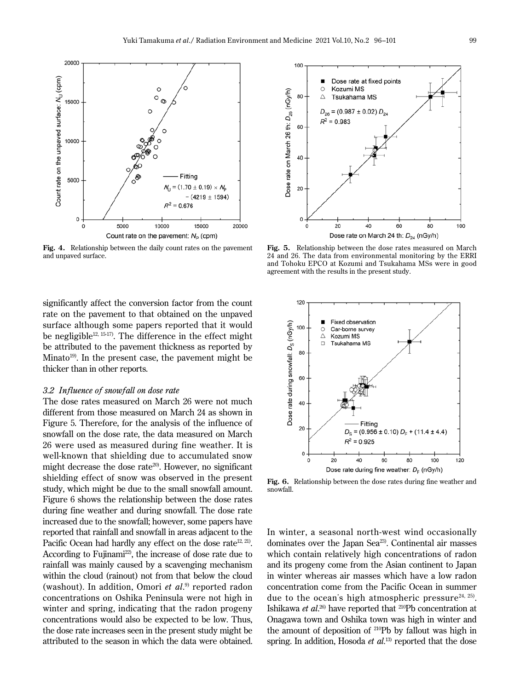

**Fig. 4.** Relationship between the daily count rates on the pavement and unpaved surface.

significantly affect the conversion factor from the count rate on the pavement to that obtained on the unpaved surface although some papers reported that it would be negligible<sup>12, 15-17</sup>. The difference in the effect might be attributed to the pavement thickness as reported by Minato<sup>19)</sup>. In the present case, the pavement might be thicker than in other reports.

## *3.2 Influence of snowfall on dose rate*

The dose rates measured on March 26 were not much different from those measured on March 24 as shown in Figure 5. Therefore, for the analysis of the influence of snowfall on the dose rate, the data measured on March 26 were used as measured during fine weather. It is well-known that shielding due to accumulated snow might decrease the dose rate<sup>20)</sup>. However, no significant shielding effect of snow was observed in the present study, which might be due to the small snowfall amount. Figure 6 shows the relationship between the dose rates during fine weather and during snowfall. The dose rate increased due to the snowfall; however, some papers have reported that rainfall and snowfall in areas adjacent to the Pacific Ocean had hardly any effect on the dose rate<sup>12, 21</sup>. According to Fujinami<sup>22</sup>, the increase of dose rate due to rainfall was mainly caused by a scavenging mechanism within the cloud (rainout) not from that below the cloud (washout). In addition, Omori *et al*. 9) reported radon concentrations on Oshika Peninsula were not high in winter and spring, indicating that the radon progeny concentrations would also be expected to be low. Thus, the dose rate increases seen in the present study might be attributed to the season in which the data were obtained.



**Fig. 5.** Relationship between the dose rates measured on March 24 and 26. The data from environmental monitoring by the ERRI and Tohoku EPCO at Kozumi and Tsukahama MSs were in good agreement with the results in the present study.



**Fig. 6.** Relationship between the dose rates during fine weather and snowfall.

In winter, a seasonal north-west wind occasionally dominates over the Japan Sea<sup>23</sup>. Continental air masses which contain relatively high concentrations of radon and its progeny come from the Asian continent to Japan in winter whereas air masses which have a low radon concentration come from the Pacific Ocean in summer due to the ocean's high atmospheric pressure $24, 25$ . Ishikawa *et al*. 26) have reported that 210Pb concentration at Onagawa town and Oshika town was high in winter and the amount of deposition of 210Pb by fallout was high in spring. In addition, Hosoda *et al.*<sup>13)</sup> reported that the dose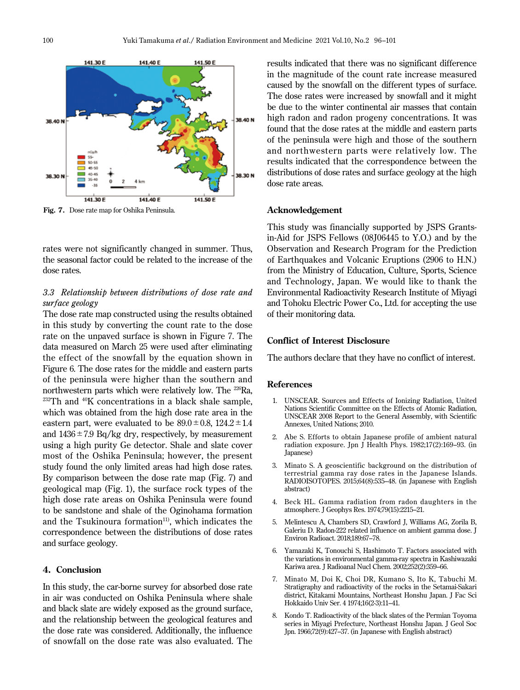

**Fig. 7.** Dose rate map for Oshika Peninsula.

rates were not significantly changed in summer. Thus, the seasonal factor could be related to the increase of the dose rates.

# *3.3 Relationship between distributions of dose rate and surface geology*

The dose rate map constructed using the results obtained in this study by converting the count rate to the dose rate on the unpaved surface is shown in Figure 7. The data measured on March 25 were used after eliminating the effect of the snowfall by the equation shown in Figure 6. The dose rates for the middle and eastern parts of the peninsula were higher than the southern and northwestern parts which were relatively low. The <sup>226</sup>Ra, <sup>232</sup>Th and <sup>40</sup>K concentrations in a black shale sample, which was obtained from the high dose rate area in the eastern part, were evaluated to be  $89.0 \pm 0.8$ ,  $124.2 \pm 1.4$ and  $1436 \pm 7.9$  Bq/kg dry, respectively, by measurement using a high purity Ge detector. Shale and slate cover most of the Oshika Peninsula; however, the present study found the only limited areas had high dose rates. By comparison between the dose rate map (Fig. 7) and geological map (Fig. 1), the surface rock types of the high dose rate areas on Oshika Peninsula were found to be sandstone and shale of the Oginohama formation and the Tsukinoura formation $11$ , which indicates the correspondence between the distributions of dose rates and surface geology.

## **4. Conclusion**

In this study, the car-borne survey for absorbed dose rate in air was conducted on Oshika Peninsula where shale and black slate are widely exposed as the ground surface, and the relationship between the geological features and the dose rate was considered. Additionally, the influence of snowfall on the dose rate was also evaluated. The

results indicated that there was no significant difference in the magnitude of the count rate increase measured caused by the snowfall on the different types of surface. The dose rates were increased by snowfall and it might be due to the winter continental air masses that contain high radon and radon progeny concentrations. It was found that the dose rates at the middle and eastern parts of the peninsula were high and those of the southern and northwestern parts were relatively low. The results indicated that the correspondence between the distributions of dose rates and surface geology at the high dose rate areas.

### **Acknowledgement**

This study was financially supported by JSPS Grantsin-Aid for JSPS Fellows (08J06445 to Y.O.) and by the Observation and Research Program for the Prediction of Earthquakes and Volcanic Eruptions (2906 to H.N.) from the Ministry of Education, Culture, Sports, Science and Technology, Japan. We would like to thank the Environmental Radioactivity Research Institute of Miyagi and Tohoku Electric Power Co., Ltd. for accepting the use of their monitoring data.

## **Conflict of Interest Disclosure**

The authors declare that they have no conflict of interest.

#### **References**

- 1. UNSCEAR. Sources and Effects of Ionizing Radiation, United Nations Scientific Committee on the Effects of Atomic Radiation, UNSCEAR 2008 Report to the General Assembly, with Scientific Annexes, United Nations; 2010.
- 2. Abe S. Efforts to obtain Japanese profile of ambient natural radiation exposure. Jpn J Health Phys. 1982;17(2):169–93. (in Japanese)
- 3. Minato S. A geoscientific background on the distribution of terrestrial gamma ray dose rates in the Japanese Islands. RADIOISOTOPES. 2015;64(8):535–48. (in Japanese with English abstract)
- 4. Beck HL. Gamma radiation from radon daughters in the atmosphere. J Geophys Res. 1974;79(15):2215–21.
- 5. Melintescu A, Chambers SD, Crawford J, Williams AG, Zorila B, Galeriu D. Radon-222 related influence on ambient gamma dose. J Environ Radioact. 2018;189:67–78.
- 6. Yamazaki K, Tonouchi S, Hashimoto T. Factors associated with the variations in environmental gamma-ray spectra in Kashiwazaki Kariwa area. J Radioanal Nucl Chem. 2002;252(2):359–66.
- 7. Minato M, Doi K, Choi DR, Kumano S, Ito K, Tabuchi M. Stratigraphy and radioactivity of the rocks in the Setamai-Sakari district, Kitakami Mountains, Northeast Honshu Japan. J Fac Sci Hokkaido Univ Ser. 4 1974;16(2-3):11–41.
- 8. Kondo T. Radioactivity of the black slates of the Permian Toyoma series in Miyagi Prefecture, Northeast Honshu Japan. J Geol Soc Jpn. 1966;72(9):427–37. (in Japanese with English abstract)